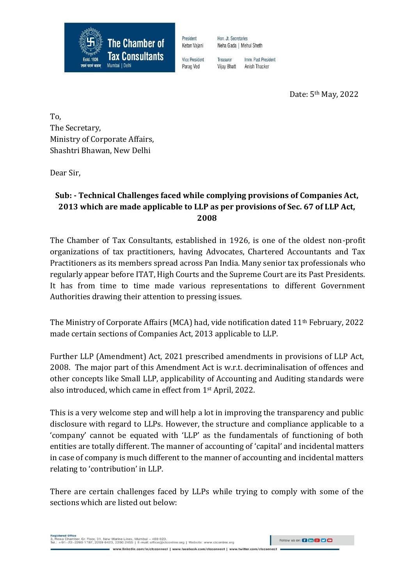

Vice President Imm Past President Treasurer Vijay Bhatt Anish Thacker

Hon, Jt. Secretaries

Neha Gada | Mehul Sheth

Date: 5th May, 2022

To, The Secretary, Ministry of Corporate Affairs, Shashtri Bhawan, New Delhi

Dear Sir,

## **Sub: - Technical Challenges faced while complying provisions of Companies Act, 2013 which are made applicable to LLP as per provisions of Sec. 67 of LLP Act, 2008**

The Chamber of Tax Consultants, established in 1926, is one of the oldest non-profit organizations of tax practitioners, having Advocates, Chartered Accountants and Tax Practitioners as its members spread across Pan India. Many senior tax professionals who regularly appear before ITAT, High Courts and the Supreme Court are its Past Presidents. It has from time to time made various representations to different Government Authorities drawing their attention to pressing issues.

The Ministry of Corporate Affairs (MCA) had, vide notification dated 11th February, 2022 made certain sections of Companies Act, 2013 applicable to LLP.

Further LLP (Amendment) Act, 2021 prescribed amendments in provisions of LLP Act, 2008. The major part of this Amendment Act is w.r.t. decriminalisation of offences and other concepts like Small LLP, applicability of Accounting and Auditing standards were also introduced, which came in effect from 1st April, 2022.

This is a very welcome step and will help a lot in improving the transparency and public disclosure with regard to LLPs. However, the structure and compliance applicable to a 'company' cannot be equated with 'LLP' as the fundamentals of functioning of both entities are totally different. The manner of accounting of 'capital' and incidental matters in case of company is much different to the manner of accounting and incidental matters relating to 'contribution' in LLP.

There are certain challenges faced by LLPs while trying to comply with some of the sections which are listed out below:

www.linkedin.com/in/ctcconnect | www.facebook.com/ctcconnect | www.twitter.com/ctcconnect

Follow us on: **(2 fm & C)**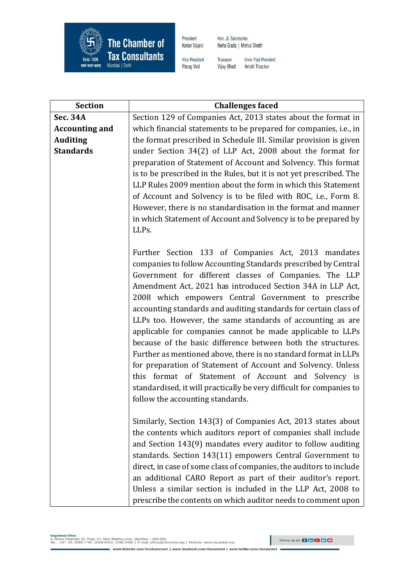

Hon. Jt. Secretaries Neha Gada | Mehul Sheth

Vice President Parag Ved

Imm. Past President Treasurer **Vijay Bhatt** Anish Thacker

| <b>Section</b>        | <b>Challenges faced</b>                                                                                                     |
|-----------------------|-----------------------------------------------------------------------------------------------------------------------------|
| <b>Sec. 34A</b>       | Section 129 of Companies Act, 2013 states about the format in                                                               |
| <b>Accounting and</b> | which financial statements to be prepared for companies, i.e., in                                                           |
| <b>Auditing</b>       | the format prescribed in Schedule III. Similar provision is given                                                           |
| <b>Standards</b>      | under Section 34(2) of LLP Act, 2008 about the format for                                                                   |
|                       | preparation of Statement of Account and Solvency. This format                                                               |
|                       | is to be prescribed in the Rules, but it is not yet prescribed. The                                                         |
|                       | LLP Rules 2009 mention about the form in which this Statement                                                               |
|                       | of Account and Solvency is to be filed with ROC, i.e., Form 8.                                                              |
|                       | However, there is no standardisation in the format and manner                                                               |
|                       | in which Statement of Account and Solvency is to be prepared by                                                             |
|                       | LLPs.                                                                                                                       |
|                       |                                                                                                                             |
|                       | Further Section 133 of Companies Act, 2013 mandates                                                                         |
|                       | companies to follow Accounting Standards prescribed by Central                                                              |
|                       | Government for different classes of Companies. The LLP                                                                      |
|                       | Amendment Act, 2021 has introduced Section 34A in LLP Act,                                                                  |
|                       | 2008 which empowers Central Government to prescribe                                                                         |
|                       | accounting standards and auditing standards for certain class of                                                            |
|                       | LLPs too. However, the same standards of accounting as are                                                                  |
|                       | applicable for companies cannot be made applicable to LLPs                                                                  |
|                       | because of the basic difference between both the structures.                                                                |
|                       | Further as mentioned above, there is no standard format in LLPs                                                             |
|                       | for preparation of Statement of Account and Solvency. Unless                                                                |
|                       | this format of Statement of Account and Solvency is<br>standardised, it will practically be very difficult for companies to |
|                       |                                                                                                                             |
|                       | follow the accounting standards.                                                                                            |
|                       | Similarly, Section 143(3) of Companies Act, 2013 states about                                                               |
|                       | the contents which auditors report of companies shall include                                                               |
|                       | and Section 143(9) mandates every auditor to follow auditing                                                                |
|                       | standards. Section 143(11) empowers Central Government to                                                                   |
|                       | direct, in case of some class of companies, the auditors to include                                                         |
|                       | an additional CARO Report as part of their auditor's report.                                                                |
|                       | Unless a similar section is included in the LLP Act, 2008 to                                                                |
|                       | prescribe the contents on which auditor needs to comment upon                                                               |

Registered Office<br>3, Rewa Chamber, Gr. Floor, 31, New Marine Lines, Mumbai – 400 020.<br>Tel.: +91–22–2200 1787, 2209 0423, 2200 2455 | E-mail: office@ctconline.org | Website: www.ctconline.org www.linkedin.com/in/clcconnect | www.facebook.com/clcconnect | www.twitter.com/clcconnect

Follow us on: 0 to 8 9 9 0

ı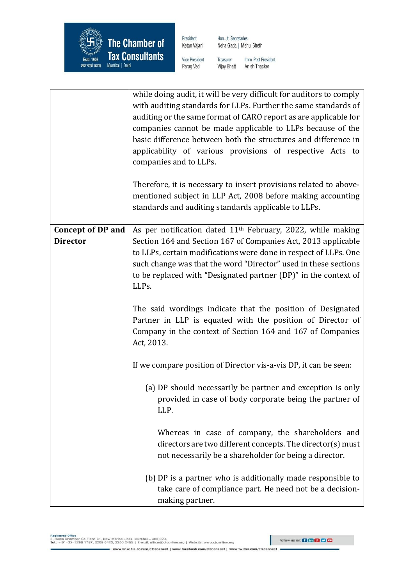

Hon. Jt. Secretaries Neha Gada | Mehul Sheth

Vice President Parag Ved

Imm. Past President Treasurer **Vijay Bhatt** Anish Thacker

|                          | while doing audit, it will be very difficult for auditors to comply<br>with auditing standards for LLPs. Further the same standards of<br>auditing or the same format of CARO report as are applicable for<br>companies cannot be made applicable to LLPs because of the<br>basic difference between both the structures and difference in<br>applicability of various provisions of respective Acts to<br>companies and to LLPs.<br>Therefore, it is necessary to insert provisions related to above-<br>mentioned subject in LLP Act, 2008 before making accounting<br>standards and auditing standards applicable to LLPs. |
|--------------------------|-------------------------------------------------------------------------------------------------------------------------------------------------------------------------------------------------------------------------------------------------------------------------------------------------------------------------------------------------------------------------------------------------------------------------------------------------------------------------------------------------------------------------------------------------------------------------------------------------------------------------------|
| <b>Concept of DP and</b> | As per notification dated 11 <sup>th</sup> February, 2022, while making                                                                                                                                                                                                                                                                                                                                                                                                                                                                                                                                                       |
| <b>Director</b>          | Section 164 and Section 167 of Companies Act, 2013 applicable<br>to LLPs, certain modifications were done in respect of LLPs. One                                                                                                                                                                                                                                                                                                                                                                                                                                                                                             |
|                          | such change was that the word "Director" used in these sections                                                                                                                                                                                                                                                                                                                                                                                                                                                                                                                                                               |
|                          | to be replaced with "Designated partner (DP)" in the context of                                                                                                                                                                                                                                                                                                                                                                                                                                                                                                                                                               |
|                          | LLPs.                                                                                                                                                                                                                                                                                                                                                                                                                                                                                                                                                                                                                         |
|                          | The said wordings indicate that the position of Designated<br>Partner in LLP is equated with the position of Director of<br>Company in the context of Section 164 and 167 of Companies<br>Act, 2013.                                                                                                                                                                                                                                                                                                                                                                                                                          |
|                          | If we compare position of Director vis-a-vis DP, it can be seen:                                                                                                                                                                                                                                                                                                                                                                                                                                                                                                                                                              |
|                          | (a) DP should necessarily be partner and exception is only<br>provided in case of body corporate being the partner of<br>LLP.                                                                                                                                                                                                                                                                                                                                                                                                                                                                                                 |
|                          | Whereas in case of company, the shareholders and<br>directors are two different concepts. The director(s) must<br>not necessarily be a shareholder for being a director.                                                                                                                                                                                                                                                                                                                                                                                                                                                      |
|                          | (b) DP is a partner who is additionally made responsible to<br>take care of compliance part. He need not be a decision-<br>making partner.                                                                                                                                                                                                                                                                                                                                                                                                                                                                                    |

Registered Office<br>3, Rewa Chamber, Gr. Floor, 31, New Marine Lines, Mumbai – 400 020.<br>Tel.: +91–22–2200 1787, 2209 0423, 2200 2455 | E-mail: office@ctconline.org | Website: www.ctconline.org www.linkedin.com/in/clcconnect | www.facebook.com/clcconnect | www.twitter.com/clcconnect

ı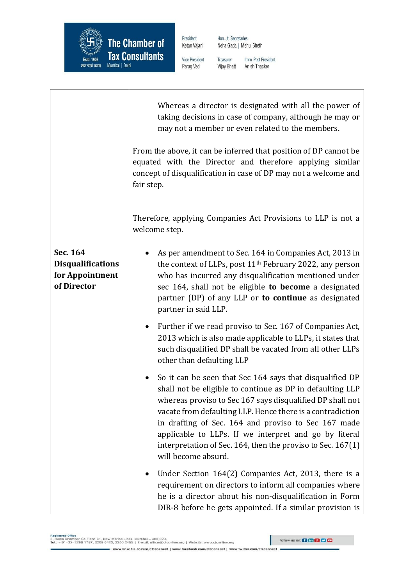

┯

 $\Gamma$ 

President Ketan Vajani Hon. Jt. Secretaries Neha Gada | Mehul Sheth

Vice President Parag Ved

Imm. Past President Treasurer **Vijay Bhatt** Anish Thacker

|                                                                        | Whereas a director is designated with all the power of<br>taking decisions in case of company, although he may or<br>may not a member or even related to the members.<br>From the above, it can be inferred that position of DP cannot be<br>equated with the Director and therefore applying similar<br>concept of disqualification in case of DP may not a welcome and<br>fair step.<br>Therefore, applying Companies Act Provisions to LLP is not a<br>welcome step.                                                                                           |
|------------------------------------------------------------------------|-------------------------------------------------------------------------------------------------------------------------------------------------------------------------------------------------------------------------------------------------------------------------------------------------------------------------------------------------------------------------------------------------------------------------------------------------------------------------------------------------------------------------------------------------------------------|
| Sec. 164<br><b>Disqualifications</b><br>for Appointment<br>of Director | As per amendment to Sec. 164 in Companies Act, 2013 in<br>the context of LLPs, post 11 <sup>th</sup> February 2022, any person<br>who has incurred any disqualification mentioned under<br>sec 164, shall not be eligible to become a designated<br>partner (DP) of any LLP or to continue as designated<br>partner in said LLP.<br>Further if we read proviso to Sec. 167 of Companies Act,<br>$\bullet$<br>2013 which is also made applicable to LLPs, it states that<br>such disqualified DP shall be vacated from all other LLPs<br>other than defaulting LLP |
|                                                                        | So it can be seen that Sec 164 says that disqualified DP<br>shall not be eligible to continue as DP in defaulting LLP<br>whereas proviso to Sec 167 says disqualified DP shall not<br>vacate from defaulting LLP. Hence there is a contradiction<br>in drafting of Sec. 164 and proviso to Sec 167 made<br>applicable to LLPs. If we interpret and go by literal<br>interpretation of Sec. 164, then the proviso to Sec. 167(1)<br>will become absurd.                                                                                                            |
|                                                                        | Under Section 164(2) Companies Act, 2013, there is a<br>requirement on directors to inform all companies where<br>he is a director about his non-disqualification in Form<br>DIR-8 before he gets appointed. If a similar provision is                                                                                                                                                                                                                                                                                                                            |

www.linkedin.com/in/ctcconnect | www.facebook.com/ctcconnect | www.twitter.com/ctcconnect

I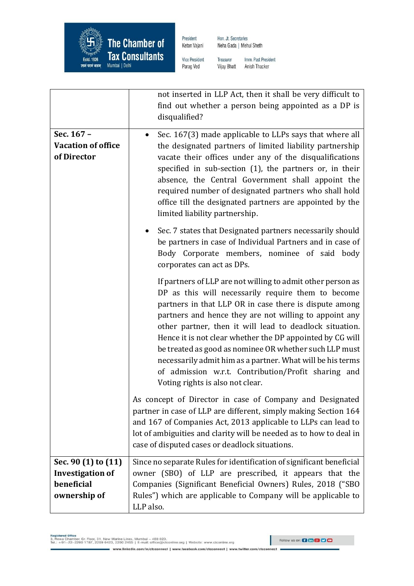

Hon. Jt. Secretaries Neha Gada | Mehul Sheth

Vice President Parag Ved

Imm. Past President Treasurer **Vijay Bhatt** Anish Thacker

|                                                                              | not inserted in LLP Act, then it shall be very difficult to<br>find out whether a person being appointed as a DP is<br>disqualified?                                                                                                                                                                                                                                                                                                                                                                                                                                             |
|------------------------------------------------------------------------------|----------------------------------------------------------------------------------------------------------------------------------------------------------------------------------------------------------------------------------------------------------------------------------------------------------------------------------------------------------------------------------------------------------------------------------------------------------------------------------------------------------------------------------------------------------------------------------|
| Sec. 167 -<br><b>Vacation of office</b><br>of Director                       | Sec. 167(3) made applicable to LLPs says that where all<br>$\bullet$<br>the designated partners of limited liability partnership<br>vacate their offices under any of the disqualifications<br>specified in sub-section (1), the partners or, in their<br>absence, the Central Government shall appoint the<br>required number of designated partners who shall hold<br>office till the designated partners are appointed by the<br>limited liability partnership.                                                                                                               |
|                                                                              | Sec. 7 states that Designated partners necessarily should<br>be partners in case of Individual Partners and in case of<br>Body Corporate members, nominee of said body<br>corporates can act as DPs.                                                                                                                                                                                                                                                                                                                                                                             |
|                                                                              | If partners of LLP are not willing to admit other person as<br>DP as this will necessarily require them to become<br>partners in that LLP OR in case there is dispute among<br>partners and hence they are not willing to appoint any<br>other partner, then it will lead to deadlock situation.<br>Hence it is not clear whether the DP appointed by CG will<br>be treated as good as nominee OR whether such LLP must<br>necessarily admit him as a partner. What will be his terms<br>of admission w.r.t. Contribution/Profit sharing and<br>Voting rights is also not clear. |
|                                                                              | As concept of Director in case of Company and Designated<br>partner in case of LLP are different, simply making Section 164<br>and 167 of Companies Act, 2013 applicable to LLPs can lead to<br>lot of ambiguities and clarity will be needed as to how to deal in<br>case of disputed cases or deadlock situations.                                                                                                                                                                                                                                                             |
| Sec. 90 (1) to (11)<br><b>Investigation of</b><br>beneficial<br>ownership of | Since no separate Rules for identification of significant beneficial<br>owner (SBO) of LLP are prescribed, it appears that the<br>Companies (Significant Beneficial Owners) Rules, 2018 ("SBO<br>Rules") which are applicable to Company will be applicable to<br>LLP also.                                                                                                                                                                                                                                                                                                      |

www.linkedin.com/in/ctcconnect | www.facebook.com/ctcconnect | www.twitter.com/ctcconnect

I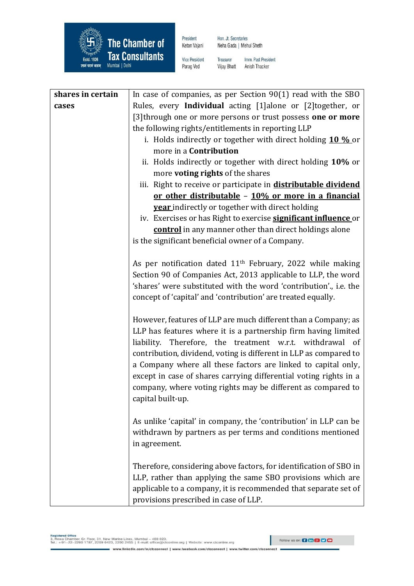

Hon. Jt. Secretaries Neha Gada | Mehul Sheth

Vice President Parag Ved

Imm. Past President Treasurer **Vijay Bhatt** Anish Thacker

| shares in certain | In case of companies, as per Section $90(1)$ read with the SBO         |
|-------------------|------------------------------------------------------------------------|
| cases             | Rules, every Individual acting [1]alone or [2]together, or             |
|                   | [3] through one or more persons or trust possess one or more           |
|                   | the following rights/entitlements in reporting LLP                     |
|                   | i. Holds indirectly or together with direct holding 10 % or            |
|                   | more in a <b>Contribution</b>                                          |
|                   | ii. Holds indirectly or together with direct holding 10% or            |
|                   | more <b>voting rights</b> of the shares                                |
|                   | iii. Right to receive or participate in <b>distributable dividend</b>  |
|                   | or other distributable - 10% or more in a financial                    |
|                   | <b>year</b> indirectly or together with direct holding                 |
|                   | iv. Exercises or has Right to exercise <b>significant influence</b> or |
|                   | <b>control</b> in any manner other than direct holdings alone          |
|                   | is the significant beneficial owner of a Company.                      |
|                   |                                                                        |
|                   | As per notification dated $11th$ February, 2022 while making           |
|                   | Section 90 of Companies Act, 2013 applicable to LLP, the word          |
|                   | 'shares' were substituted with the word 'contribution', i.e. the       |
|                   | concept of 'capital' and 'contribution' are treated equally.           |
|                   |                                                                        |
|                   | However, features of LLP are much different than a Company; as         |
|                   | LLP has features where it is a partnership firm having limited         |
|                   | liability. Therefore, the treatment w.r.t. withdrawal of               |
|                   | contribution, dividend, voting is different in LLP as compared to      |
|                   | a Company where all these factors are linked to capital only,          |
|                   | except in case of shares carrying differential voting rights in a      |
|                   | company, where voting rights may be different as compared to           |
|                   | capital built-up.                                                      |
|                   |                                                                        |
|                   | As unlike 'capital' in company, the 'contribution' in LLP can be       |
|                   | withdrawn by partners as per terms and conditions mentioned            |
|                   | in agreement.                                                          |
|                   |                                                                        |
|                   | Therefore, considering above factors, for identification of SBO in     |
|                   | LLP, rather than applying the same SBO provisions which are            |
|                   | applicable to a company, it is recommended that separate set of        |
|                   | provisions prescribed in case of LLP.                                  |

ı